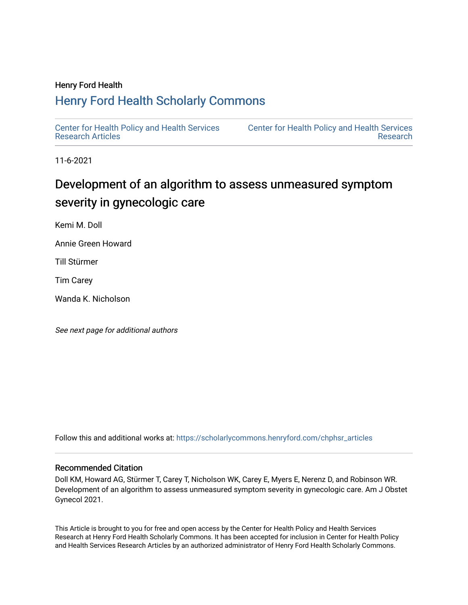# Henry Ford Health

# [Henry Ford Health Scholarly Commons](https://scholarlycommons.henryford.com/)

[Center for Health Policy and Health Services](https://scholarlycommons.henryford.com/chphsr_articles) [Research Articles](https://scholarlycommons.henryford.com/chphsr_articles) 

[Center for Health Policy and Health Services](https://scholarlycommons.henryford.com/chphsr)  [Research](https://scholarlycommons.henryford.com/chphsr) 

11-6-2021

# Development of an algorithm to assess unmeasured symptom severity in gynecologic care

Kemi M. Doll

Annie Green Howard

Till Stürmer

Tim Carey

Wanda K. Nicholson

See next page for additional authors

Follow this and additional works at: [https://scholarlycommons.henryford.com/chphsr\\_articles](https://scholarlycommons.henryford.com/chphsr_articles?utm_source=scholarlycommons.henryford.com%2Fchphsr_articles%2F243&utm_medium=PDF&utm_campaign=PDFCoverPages) 

# Recommended Citation

Doll KM, Howard AG, Stürmer T, Carey T, Nicholson WK, Carey E, Myers E, Nerenz D, and Robinson WR. Development of an algorithm to assess unmeasured symptom severity in gynecologic care. Am J Obstet Gynecol 2021.

This Article is brought to you for free and open access by the Center for Health Policy and Health Services Research at Henry Ford Health Scholarly Commons. It has been accepted for inclusion in Center for Health Policy and Health Services Research Articles by an authorized administrator of Henry Ford Health Scholarly Commons.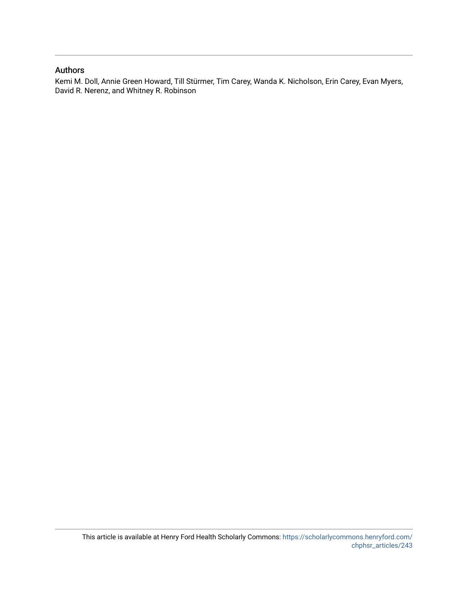# Authors

Kemi M. Doll, Annie Green Howard, Till Stürmer, Tim Carey, Wanda K. Nicholson, Erin Carey, Evan Myers, David R. Nerenz, and Whitney R. Robinson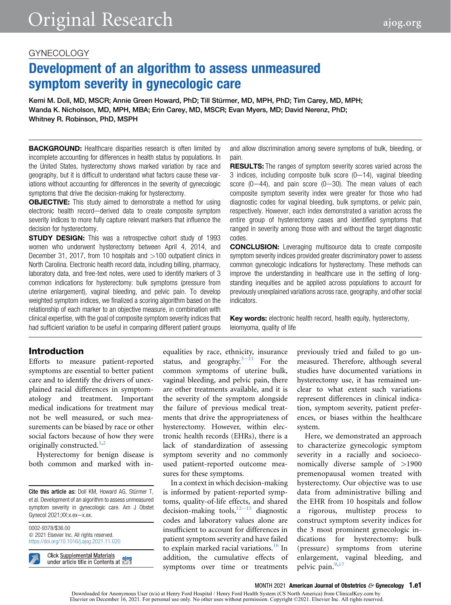# GYNECOLOGY

# Development of an algorithm to assess unmeasured symptom severity in gynecologic care

Kemi M. Doll, MD, MSCR; Annie Green Howard, PhD; Till Stürmer, MD, MPH, PhD; Tim Carey, MD, MPH; Wanda K. Nicholson, MD, MPH, MBA; Erin Carey, MD, MSCR; Evan Myers, MD; David Nerenz, PhD; Whitney R. Robinson, PhD, MSPH

**BACKGROUND:** Healthcare disparities research is often limited by incomplete accounting for differences in health status by populations. In the United States, hysterectomy shows marked variation by race and geography, but it is difficult to understand what factors cause these variations without accounting for differences in the severity of gynecologic symptoms that drive the decision-making for hysterectomy.

**OBJECTIVE:** This study aimed to demonstrate a method for using electronic health record-derived data to create composite symptom severity indices to more fully capture relevant markers that influence the decision for hysterectomy.

**STUDY DESIGN:** This was a retrospective cohort study of 1993 women who underwent hysterectomy between April 4, 2014, and December 31, 2017, from 10 hospitals and  $>100$  outpatient clinics in North Carolina. Electronic health record data, including billing, pharmacy, laboratory data, and free-text notes, were used to identify markers of 3 common indications for hysterectomy: bulk symptoms (pressure from uterine enlargement), vaginal bleeding, and pelvic pain. To develop weighted symptom indices, we finalized a scoring algorithm based on the relationship of each marker to an objective measure, in combination with clinical expertise, with the goal of composite symptom severity indices that had sufficient variation to be useful in comparing different patient groups

#### and allow discrimination among severe symptoms of bulk, bleeding, or pain.

**RESULTS:** The ranges of symptom severity scores varied across the 3 indices, including composite bulk score  $(0-14)$ , vaginal bleeding score  $(0-44)$ , and pain score  $(0-30)$ . The mean values of each composite symptom severity index were greater for those who had diagnostic codes for vaginal bleeding, bulk symptoms, or pelvic pain, respectively. However, each index demonstrated a variation across the entire group of hysterectomy cases and identified symptoms that ranged in severity among those with and without the target diagnostic codes.

**CONCLUSION:** Leveraging multisource data to create composite symptom severity indices provided greater discriminatory power to assess common gynecologic indications for hysterectomy. These methods can improve the understanding in healthcare use in the setting of longstanding inequities and be applied across populations to account for previously unexplained variations across race, geography, and other social indicators.

**Key words:** electronic health record, health equity, hysterectomy, leiomyoma, quality of life

# Introduction

Efforts to measure patient-reported symptoms are essential to better patient care and to identify the drivers of unexplained racial differences in symptomatology and treatment. Important medical indications for treatment may not be well measured, or such measurements can be biased by race or other social factors because of how they were originally constructed.<sup>[1](#page-11-0)[,2](#page-11-1)</sup>

Hysterectomy for benign disease is both common and marked with in-

Cite this article as: Doll KM, Howard AG, Stürmer T, et al. Development of an algorithm to assess unmeasured symptom severity in gynecologic care. Am J Obstet Gynecol  $2021;$ XX:x.ex- $x$ .ex.

0002-9378/\$36.00 © 2021 Elsevier Inc. All rights reserved. <https://doi.org/10.1016/j.ajog.2021.11.020>

> **Click Supplemental Materials** <u>Click Supplemental</u> Materials<br>under article title in Contents at **EXE**

equalities by race, ethnicity, insurance status, and geography. $3-11$  $3-11$  For the common symptoms of uterine bulk, vaginal bleeding, and pelvic pain, there are other treatments available, and it is the severity of the symptom alongside the failure of previous medical treatments that drive the appropriateness of hysterectomy. However, within electronic health records (EHRs), there is a lack of standardization of assessing symptom severity and no commonly used patient-reported outcome measures for these symptoms.

In a context in which decision-making is informed by patient-reported symptoms, quality-of-life effects, and shared decision-making tools, $12-15$  $12-15$  diagnostic codes and laboratory values alone are insufficient to account for differences in patient symptom severity and have failed to explain marked racial variations.<sup>[16](#page-11-4)</sup> In addition, the cumulative effects of symptoms over time or treatments

previously tried and failed to go unmeasured. Therefore, although several studies have documented variations in hysterectomy use, it has remained unclear to what extent such variations represent differences in clinical indication, symptom severity, patient preferences, or biases within the healthcare system.

Here, we demonstrated an approach to characterize gynecologic symptom severity in a racially and socioeconomically diverse sample of >1900 premenopausal women treated with hysterectomy. Our objective was to use data from administrative billing and the EHR from 10 hospitals and follow a rigorous, multistep process to construct symptom severity indices for the 3 most prominent gynecologic indications for hysterectomy: bulk (pressure) symptoms from uterine enlargement, vaginal bleeding, and pelvic pain.<sup>[9,](#page-11-5)[17](#page-11-6)</sup>

MONTH 2021 American Journal of Obstetrics  $\mathcal{E}$  Gynecology 1.e1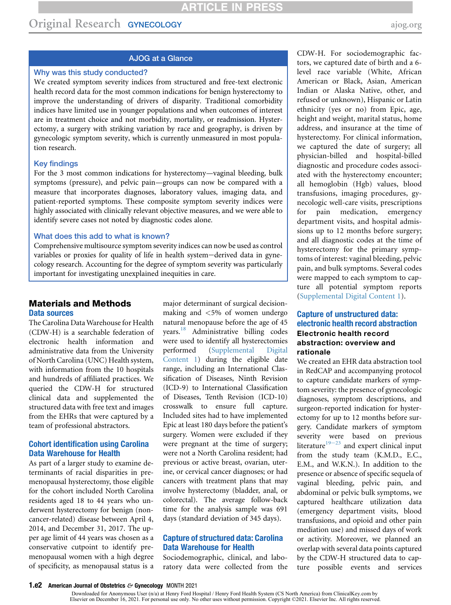# Original Research GYNECOLOGY [ajog.org](http://www.AJOG.org) and a strategy and a strategy and a strategy and a strategy and a strategy and a strategy and a strategy and a strategy and a strategy and a strategy and a strategy and a strategy and

# AJOG at a Glance

### Why was this study conducted?

We created symptom severity indices from structured and free-text electronic health record data for the most common indications for benign hysterectomy to improve the understanding of drivers of disparity. Traditional comorbidity indices have limited use in younger populations and when outcomes of interest are in treatment choice and not morbidity, mortality, or readmission. Hysterectomy, a surgery with striking variation by race and geography, is driven by gynecologic symptom severity, which is currently unmeasured in most population research.

#### Key findings

For the 3 most common indications for hysterectomy—vaginal bleeding, bulk symptoms (pressure), and pelvic pain—groups can now be compared with a measure that incorporates diagnoses, laboratory values, imaging data, and patient-reported symptoms. These composite symptom severity indices were highly associated with clinically relevant objective measures, and we were able to identify severe cases not noted by diagnostic codes alone.

#### What does this add to what is known?

Comprehensive multisource symptom severity indices can now be used as control variables or proxies for quality of life in health system-derived data in gynecology research. Accounting for the degree of symptom severity was particularly important for investigating unexplained inequities in care.

# Materials and Methods Data sources

The Carolina Data Warehouse for Health (CDW-H) is a searchable federation of electronic health information and administrative data from the University of North Carolina (UNC) Health system, with information from the 10 hospitals and hundreds of affiliated practices. We queried the CDW-H for structured clinical data and supplemented the structured data with free text and images from the EHRs that were captured by a team of professional abstractors.

## Cohort identification using Carolina Data Warehouse for Health

As part of a larger study to examine determinants of racial disparities in premenopausal hysterectomy, those eligible for the cohort included North Carolina residents aged 18 to 44 years who underwent hysterectomy for benign (noncancer-related) disease between April 4, 2014, and December 31, 2017. The upper age limit of 44 years was chosen as a conservative cutpoint to identify premenopausal women with a high degree of specificity, as menopausal status is a major determinant of surgical decisionmaking and <5% of women undergo natural menopause before the age of 45 years.[18](#page-11-7) Administrative billing codes were used to identify all hysterectomies performed (Supplemental Digital Content 1) during the eligible date range, including an International Classification of Diseases, Ninth Revision (ICD-9) to International Classification of Diseases, Tenth Revision (ICD-10) crosswalk to ensure full capture. Included sites had to have implemented Epic at least 180 days before the patient's surgery. Women were excluded if they were pregnant at the time of surgery; were not a North Carolina resident; had previous or active breast, ovarian, uterine, or cervical cancer diagnoses; or had cancers with treatment plans that may involve hysterectomy (bladder, anal, or colorectal). The average follow-back time for the analysis sample was 691 days (standard deviation of 345 days).

### Capture of structured data: Carolina Data Warehouse for Health

Sociodemographic, clinical, and laboratory data were collected from the CDW-H. For sociodemographic factors, we captured date of birth and a 6 level race variable (White, African American or Black, Asian, American Indian or Alaska Native, other, and refused or unknown), Hispanic or Latin ethnicity (yes or no) from Epic, age, height and weight, marital status, home address, and insurance at the time of hysterectomy. For clinical information, we captured the date of surgery; all physician-billed and hospital-billed diagnostic and procedure codes associated with the hysterectomy encounter; all hemoglobin (Hgb) values, blood transfusions, imaging procedures, gynecologic well-care visits, prescriptions for pain medication, emergency department visits, and hospital admissions up to 12 months before surgery; and all diagnostic codes at the time of hysterectomy for the primary symptoms of interest: vaginal bleeding, pelvic pain, and bulk symptoms. Several codes were mapped to each symptom to capture all potential symptom reports (Supplemental Digital Content 1).

# Capture of unstructured data: electronic health record abstraction Electronic health record abstraction: overview and rationale

We created an EHR data abstraction tool in RedCAP and accompanying protocol to capture candidate markers of symptom severity: the presence of gynecologic diagnoses, symptom descriptions, and surgeon-reported indication for hysterectomy for up to 12 months before surgery. Candidate markers of symptom severity [were](#page-11-8) based on previous literature $19-23$  and expert clinical input from the study team (K.M.D., E.C., E.M., and W.K.N.). In addition to the presence or absence of specific sequela of vaginal bleeding, pelvic pain, and abdominal or pelvic bulk symptoms, we captured healthcare utilization data (emergency department visits, blood transfusions, and opioid and other pain mediation use) and missed days of work or activity. Moreover, we planned an overlap with several data points captured by the CDW-H structured data to capture possible events and services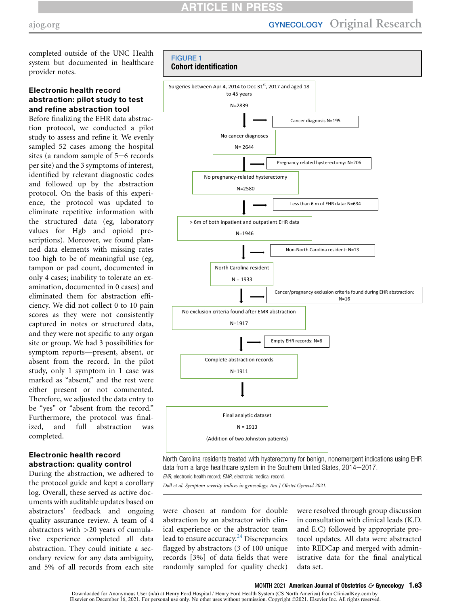completed outside of the UNC Health system but documented in healthcare provider notes.

# Electronic health record abstraction: pilot study to test and refine abstraction tool

Before finalizing the EHR data abstraction protocol, we conducted a pilot study to assess and refine it. We evenly sampled 52 cases among the hospital sites (a random sample of  $5-6$  records per site) and the 3 symptoms of interest, identified by relevant diagnostic codes and followed up by the abstraction protocol. On the basis of this experience, the protocol was updated to eliminate repetitive information with the structured data (eg, laboratory values for Hgb and opioid prescriptions). Moreover, we found planned data elements with missing rates too high to be of meaningful use (eg, tampon or pad count, documented in only 4 cases; inability to tolerate an examination, documented in 0 cases) and eliminated them for abstraction efficiency. We did not collect 0 to 10 pain scores as they were not consistently captured in notes or structured data, and they were not specific to any organ site or group. We had 3 possibilities for symptom reports—present, absent, or absent from the record. In the pilot study, only 1 symptom in 1 case was marked as "absent," and the rest were either present or not commented. Therefore, we adjusted the data entry to be "yes" or "absent from the record." Furthermore, the protocol was finalized, and full abstraction was completed.

# Electronic health record abstraction: quality control

During the abstraction, we adhered to the protocol guide and kept a corollary log. Overall, these served as active documents with auditable updates based on abstractors' feedback and ongoing quality assurance review. A team of 4 abstractors with >20 years of cumulative experience completed all data abstraction. They could initiate a secondary review for any data ambiguity, and 5% of all records from each site

<span id="page-4-0"></span>

North Carolina residents treated with hysterectomy for benign, nonemergent indications using EHR data from a large healthcare system in the Southern United States, 2014-2017. EHR, electronic health record; EMR, electronic medical record.

Doll et al. Symptom severity indices in gynecology. Am J Obstet Gynecol 2021.

were chosen at random for double abstraction by an abstractor with clinical experience or the abstractor team lead to ensure accuracy. $24$  Discrepancies flagged by abstractors (3 of 100 unique records [3%] of data fields that were randomly sampled for quality check) were resolved through group discussion in consultation with clinical leads (K.D. and E.C) followed by appropriate protocol updates. All data were abstracted into REDCap and merged with administrative data for the final analytical data set.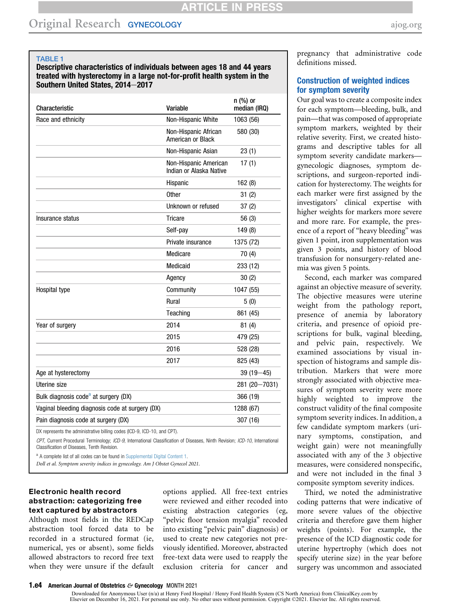# Original Research GYNECOLOGY [ajog.org](http://www.AJOG.org)

#### <span id="page-5-1"></span>TABLE 1

Descriptive characteristics of individuals between ages 18 and 44 years treated with hysterectomy in a large not-for-profit health system in the Southern United States, 2014-2017

| Characteristic                                                           | Variable                                         | $n$ (%) or<br>median (IRQ) |
|--------------------------------------------------------------------------|--------------------------------------------------|----------------------------|
| Race and ethnicity                                                       | Non-Hispanic White                               | 1063 (56)                  |
|                                                                          | Non-Hispanic African<br>American or Black        | 580 (30)                   |
|                                                                          | Non-Hispanic Asian                               | 23(1)                      |
|                                                                          | Non-Hispanic American<br>Indian or Alaska Native | 17(1)                      |
|                                                                          | Hispanic                                         | 162(8)                     |
|                                                                          | <b>Other</b>                                     | 31(2)                      |
|                                                                          | Unknown or refused                               | 37(2)                      |
| Insurance status                                                         | <b>Tricare</b>                                   | 56(3)                      |
|                                                                          | Self-pay                                         | 149(8)                     |
|                                                                          | Private insurance                                | 1375 (72)                  |
|                                                                          | Medicare                                         | 70 (4)                     |
|                                                                          | Medicaid                                         | 233 (12)                   |
|                                                                          | Agency                                           | 30(2)                      |
| Hospital type                                                            | Community                                        | 1047 (55)                  |
|                                                                          | Rural                                            | 5(0)                       |
|                                                                          | Teaching                                         | 861 (45)                   |
| Year of surgery                                                          | 2014                                             | 81(4)                      |
|                                                                          | 2015                                             | 479 (25)                   |
|                                                                          | 2016                                             | 528 (28)                   |
|                                                                          | 2017                                             | 825 (43)                   |
| Age at hysterectomy                                                      |                                                  | $39(19 - 45)$              |
| Uterine size                                                             |                                                  | 281 (20 - 7031)            |
| Bulk diagnosis code <sup>a</sup> at surgery (DX)                         |                                                  | 366 (19)                   |
| Vaginal bleeding diagnosis code at surgery (DX)                          |                                                  | 1288 (67)                  |
| Pain diagnosis code at surgery (DX)                                      |                                                  | 307 (16)                   |
| DX represents the administrative billing codes (ICD-9, ICD-10, and CPT). |                                                  |                            |

CPT, Current Procedural Terminology; ICD-9, International Classification of Diseases, Ninth Revision; ICD-10, International Classification of Diseases, Tenth Revision.

<span id="page-5-0"></span><sup>a</sup> A complete list of all codes can be found in Supplemental Digital Content 1.

Doll et al. Symptom severity indices in gynecology. Am J Obstet Gynecol 2021.

## Electronic health record abstraction: categorizing free text captured by abstractors

Although most fields in the REDCap abstraction tool forced data to be recorded in a structured format (ie, numerical, yes or absent), some fields allowed abstractors to record free text when they were unsure if the default options applied. All free-text entries were reviewed and either recoded into existing abstraction categories (eg, "pelvic floor tension myalgia" recoded into existing "pelvic pain" diagnosis) or used to create new categories not previously identified. Moreover, abstracted free-text data were used to reapply the exclusion criteria for cancer and pregnancy that administrative code definitions missed.

### Construction of weighted indices for symptom severity

Our goal was to create a composite index for each symptom—bleeding, bulk, and pain—that was composed of appropriate symptom markers, weighted by their relative severity. First, we created histograms and descriptive tables for all symptom severity candidate markers gynecologic diagnoses, symptom descriptions, and surgeon-reported indication for hysterectomy. The weights for each marker were first assigned by the investigators' clinical expertise with higher weights for markers more severe and more rare. For example, the presence of a report of "heavy bleeding" was given 1 point, iron supplementation was given 3 points, and history of blood transfusion for nonsurgery-related anemia was given 5 points.

Second, each marker was compared against an objective measure of severity. The objective measures were uterine weight from the pathology report, presence of anemia by laboratory criteria, and presence of opioid prescriptions for bulk, vaginal bleeding, and pelvic pain, respectively. We examined associations by visual inspection of histograms and sample distribution. Markers that were more strongly associated with objective measures of symptom severity were more highly weighted to improve the construct validity of the final composite symptom severity indices. In addition, a few candidate symptom markers (urinary symptoms, constipation, and weight gain) were not meaningfully associated with any of the 3 objective measures, were considered nonspecific, and were not included in the final 3 composite symptom severity indices.

Third, we noted the administrative coding patterns that were indicative of more severe values of the objective criteria and therefore gave them higher weights (points). For example, the presence of the ICD diagnostic code for uterine hypertrophy (which does not specify uterine size) in the year before surgery was uncommon and associated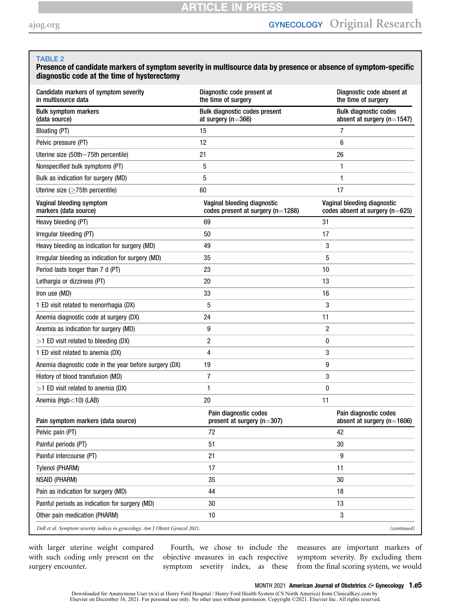#### <span id="page-6-0"></span>TABLE 2

## Presence of candidate markers of symptom severity in multisource data by presence or absence of symptom-specific diagnostic code at the time of hysterectomy

| Candidate markers of symptom severity<br>in multisource data                  | Diagnostic code present at<br>the time of surgery                    | Diagnostic code absent at<br>the time of surgery                   |
|-------------------------------------------------------------------------------|----------------------------------------------------------------------|--------------------------------------------------------------------|
| <b>Bulk symptom markers</b><br>(data source)                                  | <b>Bulk diagnostic codes present</b><br>at surgery ( $n=366$ )       | <b>Bulk diagnostic codes</b><br>absent at surgery ( $n=1547$ )     |
| Bloating (PT)                                                                 | 15                                                                   | 7                                                                  |
| Pelvic pressure (PT)                                                          | 12                                                                   | 6                                                                  |
| Uterine size (50th-75th percentile)                                           | 21                                                                   | 26                                                                 |
| Nonspecified bulk symptoms (PT)                                               | 5                                                                    | 1                                                                  |
| Bulk as indication for surgery (MD)                                           | 5                                                                    | 1                                                                  |
| Uterine size ( $\geq$ 75th percentile)                                        | 60                                                                   | 17                                                                 |
| Vaginal bleeding symptom<br>markers (data source)                             | Vaginal bleeding diagnostic<br>codes present at surgery ( $n=1288$ ) | Vaginal bleeding diagnostic<br>codes absent at surgery ( $n=625$ ) |
| Heavy bleeding (PT)                                                           | 69                                                                   | 31                                                                 |
| Irregular bleeding (PT)                                                       | 50                                                                   | 17                                                                 |
| Heavy bleeding as indication for surgery (MD)                                 | 49                                                                   | 3                                                                  |
| Irregular bleeding as indication for surgery (MD)                             | 35                                                                   | 5                                                                  |
| Period lasts longer than 7 d (PT)                                             | 23                                                                   | 10                                                                 |
| Lethargia or dizziness (PT)                                                   | 20                                                                   | 13                                                                 |
| Iron use (MD)                                                                 | 33                                                                   | 16                                                                 |
| 1 ED visit related to menorrhagia (DX)                                        | 5                                                                    | 3                                                                  |
| Anemia diagnostic code at surgery (DX)                                        | 24                                                                   | 11                                                                 |
| Anemia as indication for surgery (MD)                                         | 9                                                                    | $\overline{2}$                                                     |
| $>1$ ED visit related to bleeding (DX)                                        | 2                                                                    | 0                                                                  |
| 1 ED visit related to anemia (DX)                                             | 4                                                                    | 3                                                                  |
| Anemia diagnostic code in the year before surgery (DX)                        | 19                                                                   | 9                                                                  |
| History of blood transfusion (MD)                                             | 7                                                                    | 3                                                                  |
| >1 ED visit related to anemia (DX)                                            | 1                                                                    | 0                                                                  |
| Anemia (Hgb<10) (LAB)                                                         | 20                                                                   | 11                                                                 |
| Pain symptom markers (data source)                                            | Pain diagnostic codes<br>present at surgery $(n=307)$                | Pain diagnostic codes<br>absent at surgery ( $n=1606$ )            |
| Pelvic pain (PT)                                                              | 72                                                                   | 42                                                                 |
| Painful periods (PT)                                                          | 51                                                                   | 30                                                                 |
| Painful intercourse (PT)                                                      | 21                                                                   | 9                                                                  |
| Tylenol (PHARM)                                                               | 17                                                                   | 11                                                                 |
| <b>NSAID (PHARM)</b>                                                          | 35                                                                   | 30                                                                 |
| Pain as indication for surgery (MD)                                           | 44                                                                   | 18                                                                 |
| Painful periods as indication for surgery (MD)                                | 30                                                                   | 13                                                                 |
| Other pain medication (PHARM)                                                 | 10                                                                   | 3                                                                  |
| Doll et al. Symptom severity indices in gynecology. Am J Obstet Gynecol 2021. |                                                                      | (continued)                                                        |

with larger uterine weight compared with such coding only present on the surgery encounter.

Fourth, we chose to include the objective measures in each respective symptom severity index, as these

measures are important markers of symptom severity. By excluding them from the final scoring system, we would

Downloaded for Anonymous User (n/a) at Henry Ford Hospital / Henry Ford Health System (CS North America) from ClinicalKey.com by Elsevier on December 16, 2021. For personal use only. No other uses without permission. Copyr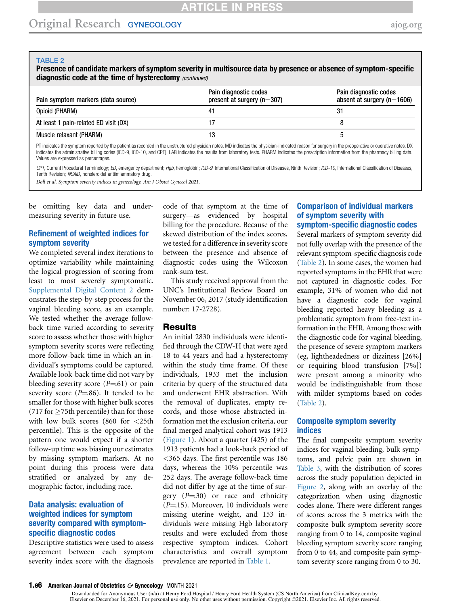#### TABLE 2

Presence of candidate markers of symptom severity in multisource data by presence or absence of symptom-specific diagnostic code at the time of hysterectomy (continued)

| Pain symptom markers (data source)    | Pain diagnostic codes<br>present at surgery ( $n=307$ ) | Pain diagnostic codes<br>absent at surgery $(n=1606)$ |
|---------------------------------------|---------------------------------------------------------|-------------------------------------------------------|
| Opioid (PHARM)                        | 41                                                      |                                                       |
| At least 1 pain-related ED visit (DX) |                                                         |                                                       |
| Muscle relaxant (PHARM)               |                                                         |                                                       |

PT indicates the symptom reported by the patient as recorded in the unstructured physician notes. MD indicates the physician-indicated reason for surgery in the preoperative or operative or operative or operative or operat indicates the administrative billing codes (ICD-9, ICD-10, and CPT). LAB indicates the results from laboratory tests. PHARM indicates the prescription information from the pharmacy billing data. Values are expressed as percentages.

CPT, Current Procedural Terminology; ED, emergency department; Hgb, hemoglobin; ICD-9, International Classification of Diseases, Ninth Revision; ICD-10, International Classification of Diseases, Tenth Revision; NSAID, nonsteroidal antiinflammatory drug.

Doll et al. Symptom severity indices in gynecology. Am J Obstet Gynecol 2021.

be omitting key data and undermeasuring severity in future use.

### Refinement of weighted indices for symptom severity

We completed several index iterations to optimize variability while maintaining the logical progression of scoring from least to most severely symptomatic. Supplemental Digital Content 2 demonstrates the step-by-step process for the vaginal bleeding score, as an example. We tested whether the average followback time varied according to severity score to assess whether those with higher symptom severity scores were reflecting more follow-back time in which an individual's symptoms could be captured. Available look-back time did not vary by bleeding severity score  $(P=61)$  or pain severity score ( $P=86$ ). It tended to be smaller for those with higher bulk scores  $(717$  for  $\geq$ 75th percentile) than for those with low bulk scores (860 for <25th percentile). This is the opposite of the pattern one would expect if a shorter follow-up time was biasing our estimates by missing symptom markers. At no point during this process were data stratified or analyzed by any demographic factor, including race.

## Data analysis: evaluation of weighted indices for symptom severity compared with symptomspecific diagnostic codes

Descriptive statistics were used to assess agreement between each symptom severity index score with the diagnosis code of that symptom at the time of surgery—as evidenced by hospital billing for the procedure. Because of the skewed distribution of the index scores, we tested for a difference in severity score between the presence and absence of diagnostic codes using the Wilcoxon rank-sum test.

This study received approval from the UNC's Institutional Review Board on November 06, 2017 (study identification number: 17-2728).

#### Results

An initial 2830 individuals were identified through the CDW-H that were aged 18 to 44 years and had a hysterectomy within the study time frame. Of these individuals, 1933 met the inclusion criteria by query of the structured data and underwent EHR abstraction. With the removal of duplicates, empty records, and those whose abstracted information met the exclusion criteria, our final merged analytical cohort was 1913 ([Figure 1\)](#page-4-0). About a quarter (425) of the 1913 patients had a look-back period of <365 days. The first percentile was 186 days, whereas the 10% percentile was 252 days. The average follow-back time did not differ by age at the time of surgery  $(P=30)$  or race and ethnicity  $(P=15)$ . Moreover, 10 individuals were missing uterine weight, and 153 individuals were missing Hgb laboratory results and were excluded from those respective symptom indices. Cohort characteristics and overall symptom prevalence are reported in [Table 1.](#page-5-1)

#### Comparison of individual markers of symptom severity with symptom-specific diagnostic codes

Several markers of symptom severity did not fully overlap with the presence of the relevant symptom-specific diagnosis code [\(Table 2](#page-6-0)). In some cases, the women had reported symptoms in the EHR that were not captured in diagnostic codes. For example, 31% of women who did not have a diagnostic code for vaginal bleeding reported heavy bleeding as a problematic symptom from free-text information in the EHR. Among those with the diagnostic code for vaginal bleeding, the presence of severe symptom markers (eg, lightheadedness or dizziness [26%] or requiring blood transfusion [7%]) were present among a minority who would be indistinguishable from those with milder symptoms based on codes [\(Table 2](#page-6-0)).

### Composite symptom severity indices

The final composite symptom severity indices for vaginal bleeding, bulk symptoms, and pelvic pain are shown in [Table 3](#page-8-0), with the distribution of scores across the study population depicted in [Figure 2](#page-10-0), along with an overlay of the categorization when using diagnostic codes alone. There were different ranges of scores across the 3 metrics with the composite bulk symptom severity score ranging from 0 to 14, composite vaginal bleeding symptom severity score ranging from 0 to 44, and composite pain symptom severity score ranging from 0 to 30.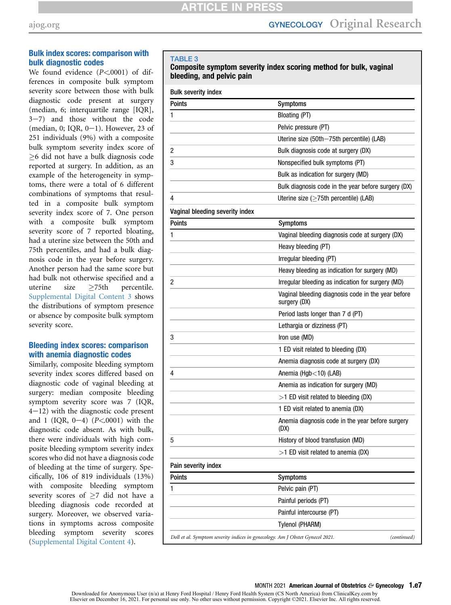# Bulk index scores: comparison with bulk diagnostic codes

We found evidence  $(P<.0001)$  of differences in composite bulk symptom severity score between those with bulk diagnostic code present at surgery (median, 6; interquartile range [IQR],  $3-7$ ) and those without the code (median, 0; IQR,  $0-1$ ). However, 23 of 251 individuals (9%) with a composite bulk symptom severity index score of -6 did not have a bulk diagnosis code reported at surgery. In addition, as an example of the heterogeneity in symptoms, there were a total of 6 different combinations of symptoms that resulted in a composite bulk symptom severity index score of 7. One person with a composite bulk symptom severity score of 7 reported bloating, had a uterine size between the 50th and 75th percentiles, and had a bulk diagnosis code in the year before surgery. Another person had the same score but had bulk not otherwise specified and a uterine size  $\geq 75$ th percentile. Supplemental Digital Content 3 shows the distributions of symptom presence or absence by composite bulk symptom severity score.

# Bleeding index scores: comparison with anemia diagnostic codes

Similarly, composite bleeding symptom severity index scores differed based on diagnostic code of vaginal bleeding at surgery: median composite bleeding symptom severity score was 7 (IQR,  $4-12$ ) with the diagnostic code present and 1 (IQR,  $0-4$ ) ( $P < 0001$ ) with the diagnostic code absent. As with bulk, there were individuals with high composite bleeding symptom severity index scores who did not have a diagnosis code of bleeding at the time of surgery. Specifically, 106 of 819 individuals (13%) with composite bleeding symptom severity scores of  $\geq 7$  did not have a bleeding diagnosis code recorded at surgery. Moreover, we observed variations in symptoms across composite bleeding symptom severity scores (Supplemental Digital Content 4).

#### <span id="page-8-0"></span>TABLE 3

#### Composite symptom severity index scoring method for bulk, vaginal bleeding, and pelvic pain

| <b>Bulk severity index</b>                                                    |                                                                    |
|-------------------------------------------------------------------------------|--------------------------------------------------------------------|
| <b>Points</b>                                                                 | <b>Symptoms</b>                                                    |
| 1                                                                             | Bloating (PT)                                                      |
|                                                                               | Pelvic pressure (PT)                                               |
|                                                                               | Uterine size (50th-75th percentile) (LAB)                          |
| 2                                                                             | Bulk diagnosis code at surgery (DX)                                |
| 3                                                                             | Nonspecified bulk symptoms (PT)                                    |
|                                                                               | Bulk as indication for surgery (MD)                                |
|                                                                               | Bulk diagnosis code in the year before surgery (DX)                |
| 4                                                                             | Uterine size (≥75th percentile) (LAB)                              |
| Vaginal bleeding severity index                                               |                                                                    |
| Points                                                                        | <b>Symptoms</b>                                                    |
| 1                                                                             | Vaginal bleeding diagnosis code at surgery (DX)                    |
|                                                                               | Heavy bleeding (PT)                                                |
|                                                                               | Irregular bleeding (PT)                                            |
|                                                                               | Heavy bleeding as indication for surgery (MD)                      |
| 2                                                                             | Irregular bleeding as indication for surgery (MD)                  |
|                                                                               | Vaginal bleeding diagnosis code in the year before<br>surgery (DX) |
|                                                                               | Period lasts longer than 7 d (PT)                                  |
|                                                                               | Lethargia or dizziness (PT)                                        |
| 3                                                                             | Iron use (MD)                                                      |
|                                                                               | 1 ED visit related to bleeding (DX)                                |
|                                                                               | Anemia diagnosis code at surgery (DX)                              |
| 4                                                                             | Anemia (Hgb $<$ 10) (LAB)                                          |
|                                                                               | Anemia as indication for surgery (MD)                              |
|                                                                               | $>1$ ED visit related to bleeding (DX)                             |
|                                                                               | 1 ED visit related to anemia (DX)                                  |
|                                                                               | Anemia diagnosis code in the year before surgery<br>(DX)           |
| 5                                                                             | History of blood transfusion (MD)                                  |
|                                                                               | >1 ED visit related to anemia (DX)                                 |
| Pain severity index                                                           |                                                                    |
| <b>Points</b>                                                                 | <b>Symptoms</b>                                                    |
| 1                                                                             | Pelvic pain (PT)                                                   |
|                                                                               | Painful periods (PT)                                               |
|                                                                               | Painful intercourse (PT)                                           |
|                                                                               | Tylenol (PHARM)                                                    |
| Doll et al. Symptom severity indices in gynecology. Am J Obstet Gynecol 2021. | (continued)                                                        |

#### MONTH 2021 American Journal of Obstetrics  $\mathfrak{S}$  Gynecology 1.e7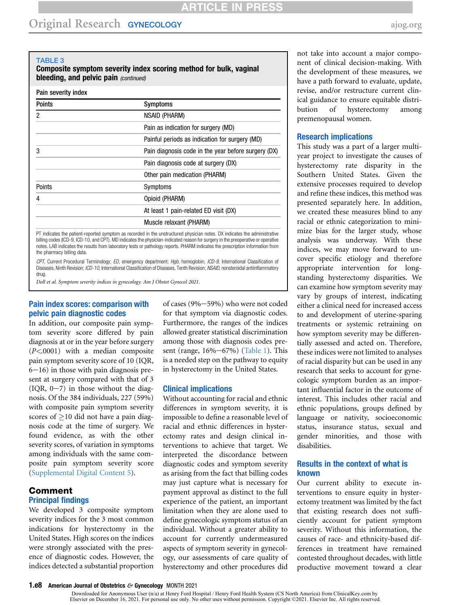# Original Research GYNECOLOGY [ajog.org](http://www.AJOG.org)

#### TABLE 3

Composite symptom severity index scoring method for bulk, vaginal bleeding, and pelvic pain (continued)

| Pain severity index |  |
|---------------------|--|
|                     |  |
|                     |  |

| <b>Points</b> | <b>Symptoms</b>                                     |
|---------------|-----------------------------------------------------|
| 2             | NSAID (PHARM)                                       |
|               | Pain as indication for surgery (MD)                 |
|               | Painful periods as indication for surgery (MD)      |
| 3             | Pain diagnosis code in the year before surgery (DX) |
|               | Pain diagnosis code at surgery (DX)                 |
|               | Other pain medication (PHARM)                       |
| Points        | Symptoms                                            |
|               | Opioid (PHARM)                                      |
|               | At least 1 pain-related ED visit (DX)               |
|               | Muscle relaxant (PHARM)                             |
|               |                                                     |

PT indicates the patient-reported symptom as recorded in the unstructured physician notes. DX indicates the administrative billing codes (ICD-9, ICD-10, and CPT). MD indicates the physician-indicated reason for surgery in the preoperative or operative notes. LAB indicates the results from laboratory tests or pathology reports. PHARM indicates the prescription information from the pharmacy billing data.

CPT, Current Procedural Terminology; ED, emergency department; Hgb, hemoglobin; ICD-9, International Classification of Diseases, Ninth Revision; ICD-10, International Classification of Diseases, Tenth Revision; NSAID, nonsteroidal antiinflammatory drug.

Doll et al. Symptom severity indices in gynecology. Am J Obstet Gynecol 2021.

## Pain index scores: comparison with pelvic pain diagnostic codes

In addition, our composite pain symptom severity score differed by pain diagnosis at or in the year before surgery  $(P<.0001)$  with a median composite pain symptom severity score of 10 (IQR,  $6-16$ ) in those with pain diagnosis present at surgery compared with that of 3  $(IQR, 0-7)$  in those without the diagnosis. Of the 384 individuals, 227 (59%) with composite pain symptom severity scores of  $\geq$ 10 did not have a pain diagnosis code at the time of surgery. We found evidence, as with the other severity scores, of variation in symptoms among individuals with the same composite pain symptom severity score (Supplemental Digital Content 5).

#### Comment Principal findings

We developed 3 composite symptom severity indices for the 3 most common indications for hysterectomy in the United States. High scores on the indices were strongly associated with the presence of diagnostic codes. However, the indices detected a substantial proportion

of cases  $(9\% - 59\%)$  who were not coded for that symptom via diagnostic codes. Furthermore, the ranges of the indices allowed greater statistical discrimination among those with diagnosis codes present (range,  $16\% - 67\%$ ) [\(Table 1](#page-5-1)). This is a needed step on the pathway to equity in hysterectomy in the United States.

#### Clinical implications

Without accounting for racial and ethnic differences in symptom severity, it is impossible to define a reasonable level of racial and ethnic differences in hysterectomy rates and design clinical interventions to achieve that target. We interpreted the discordance between diagnostic codes and symptom severity as arising from the fact that billing codes may just capture what is necessary for payment approval as distinct to the full experience of the patient, an important limitation when they are alone used to define gynecologic symptom status of an individual. Without a greater ability to account for currently undermeasured aspects of symptom severity in gynecology, our assessments of care quality of hysterectomy and other procedures did

not take into account a major component of clinical decision-making. With the development of these measures, we have a path forward to evaluate, update, revise, and/or restructure current clinical guidance to ensure equitable distribution of hysterectomy among premenopausal women.

#### Research implications

This study was a part of a larger multiyear project to investigate the causes of hysterectomy rate disparity in the Southern United States. Given the extensive processes required to develop and refine these indices, this method was presented separately here. In addition, we created these measures blind to any racial or ethnic categorization to minimize bias for the larger study, whose analysis was underway. With these indices, we may move forward to uncover specific etiology and therefore appropriate intervention for longstanding hysterectomy disparities. We can examine how symptom severity may vary by groups of interest, indicating either a clinical need for increased access to and development of uterine-sparing treatments or systemic retraining on how symptom severity may be differentially assessed and acted on. Therefore, these indices were not limited to analyses of racial disparity but can be used in any research that seeks to account for gynecologic symptom burden as an important influential factor in the outcome of interest. This includes other racial and ethnic populations, groups defined by language or nativity, socioeconomic status, insurance status, sexual and gender minorities, and those with disabilities.

#### Results in the context of what is known

Our current ability to execute interventions to ensure equity in hysterectomy treatment was limited by the fact that existing research does not sufficiently account for patient symptom severity. Without this information, the causes of race- and ethnicity-based differences in treatment have remained contested throughout decades, with little productive movement toward a clear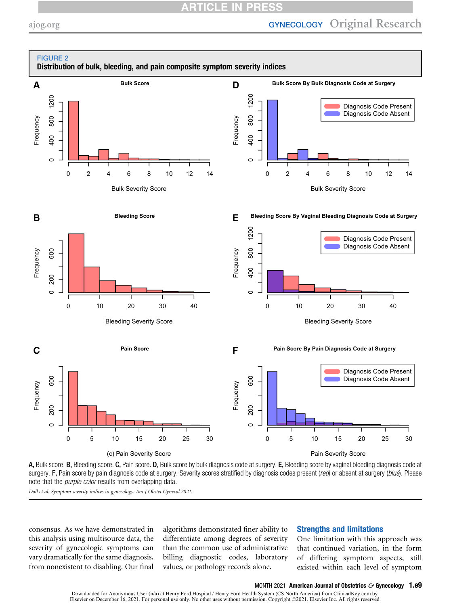# **CLE**

<span id="page-10-0"></span>

A, Bulk score. B, Bleeding score. C, Pain score. D, Bulk score by bulk diagnosis code at surgery. E, Bleeding score by vaginal bleeding diagnosis code at surgery. F, Pain score by pain diagnosis code at surgery. Severity scores stratified by diagnosis codes present (red) or absent at surgery (blue). Please note that the *purple color* results from overlapping data.

Doll et al. Symptom severity indices in gynecology. Am J Obstet Gynecol 2021.

consensus. As we have demonstrated in this analysis using multisource data, the severity of gynecologic symptoms can vary dramatically for the same diagnosis, from nonexistent to disabling. Our final

algorithms demonstrated finer ability to differentiate among degrees of severity than the common use of administrative billing diagnostic codes, laboratory values, or pathology records alone.

# Strengths and limitations

One limitation with this approach was that continued variation, in the form of differing symptom aspects, still existed within each level of symptom

#### MONTH 2021 American Journal of Obstetrics  $\mathfrak{S}$  Gynecology 1.e9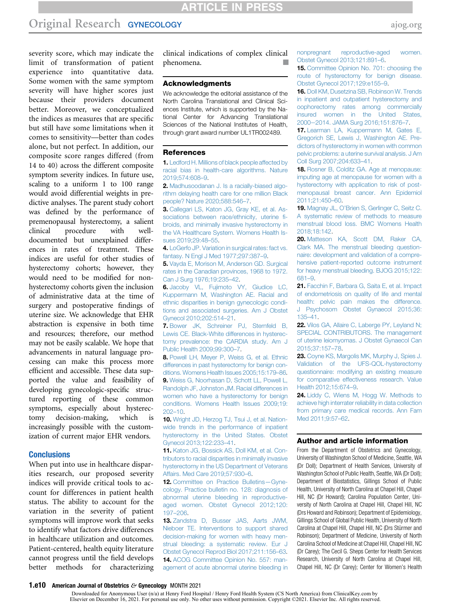severity score, which may indicate the limit of transformation of patient experience into quantitative data. Some women with the same symptom severity will have higher scores just because their providers document better. Moreover, we conceptualized the indices as measures that are specific but still have some limitations when it comes to sensitivity—better than codes alone, but not perfect. In addition, our composite score ranges differed (from 14 to 40) across the different composite symptom severity indices. In future use, scaling to a uniform 1 to 100 range would avoid differential weights in predictive analyses. The parent study cohort was defined by the performance of premenopausal hysterectomy, a salient clinical procedure with welldocumented but unexplained differences in rates of treatment. These indices are useful for other studies of hysterectomy cohorts; however, they would need to be modified for nonhysterectomy cohorts given the inclusion of administrative data at the time of surgery and postoperative findings of uterine size. We acknowledge that EHR abstraction is expensive in both time and resources; therefore, our method may not be easily scalable. We hope that advancements in natural language processing can make this process more efficient and accessible. These data supported the value and feasibility of developing gynecologic-specific structured reporting of these common symptoms, especially about hysterectomy decision-making, which is increasingly possible with the customization of current major EHR vendors.

#### **Conclusions**

When put into use in healthcare disparities research, our proposed severity indices will provide critical tools to account for differences in patient health status. The ability to account for the variation in the severity of patient symptoms will improve work that seeks to identify what factors drive differences in healthcare utilization and outcomes. Patient-centered, health equity literature cannot progress until the field develops better methods for characterizing clinical indications of complex clinical phenomena.

#### Acknowledgments

We acknowledge the editorial assistance of the North Carolina Translational and Clinical Sciences Institute, which is supported by the National Center for Advancing Translational Sciences of the National Institutes of Health, through grant award number UL1TR002489.

#### <span id="page-11-0"></span>References

1. [Ledford H. Millions of black people affected by](http://refhub.elsevier.com/S0002-9378(21)01214-X/sref1) [racial bias in health-care algorithms. Nature](http://refhub.elsevier.com/S0002-9378(21)01214-X/sref1) [2019;574:608](http://refhub.elsevier.com/S0002-9378(21)01214-X/sref1)–9.

<span id="page-11-1"></span>2. [Madhusoodanan J. Is a racially-biased algo](http://refhub.elsevier.com/S0002-9378(21)01214-X/sref2)[rithm delaying health care for one million Black](http://refhub.elsevier.com/S0002-9378(21)01214-X/sref2) [people? Nature 2020;588:546](http://refhub.elsevier.com/S0002-9378(21)01214-X/sref2)–7.

3. [Callegari LS, Katon JG, Gray KE, et al. As](http://refhub.elsevier.com/S0002-9378(21)01214-X/sref3)[sociations between race/ethnicity, uterine](http://refhub.elsevier.com/S0002-9378(21)01214-X/sref3) fi[broids, and minimally invasive hysterectomy in](http://refhub.elsevier.com/S0002-9378(21)01214-X/sref3) [the VA Healthcare System. Womens Health Is](http://refhub.elsevier.com/S0002-9378(21)01214-X/sref3)[sues 2019;29:48](http://refhub.elsevier.com/S0002-9378(21)01214-X/sref3)–55.

4. [LoGerfo JP. Variation in surgical rates: fact vs.](http://refhub.elsevier.com/S0002-9378(21)01214-X/sref4) [fantasy. N Engl J Med 1977;297:387](http://refhub.elsevier.com/S0002-9378(21)01214-X/sref4)–9.

5. [Vayda E, Morison M, Anderson GD. Surgical](http://refhub.elsevier.com/S0002-9378(21)01214-X/sref5) [rates in the Canadian provinces, 1968 to 1972.](http://refhub.elsevier.com/S0002-9378(21)01214-X/sref5) [Can J Surg 1976;19:235](http://refhub.elsevier.com/S0002-9378(21)01214-X/sref5)–42.

6. [Jacoby VL, Fujimoto VY, Giudice LC,](http://refhub.elsevier.com/S0002-9378(21)01214-X/sref6) [Kuppermann M, Washington AE. Racial and](http://refhub.elsevier.com/S0002-9378(21)01214-X/sref6) [ethnic disparities in benign gynecologic condi](http://refhub.elsevier.com/S0002-9378(21)01214-X/sref6)[tions and associated surgeries. Am J Obstet](http://refhub.elsevier.com/S0002-9378(21)01214-X/sref6) [Gynecol 2010;202:514](http://refhub.elsevier.com/S0002-9378(21)01214-X/sref6)–21.

7. [Bower JK, Schreiner PJ, Sternfeld B,](http://refhub.elsevier.com/S0002-9378(21)01214-X/sref7) [Lewis CE. Black-White differences in hysterec](http://refhub.elsevier.com/S0002-9378(21)01214-X/sref7)[tomy prevalence: the CARDIA study. Am J](http://refhub.elsevier.com/S0002-9378(21)01214-X/sref7) [Public Health 2009;99:300](http://refhub.elsevier.com/S0002-9378(21)01214-X/sref7)–7.

<span id="page-11-5"></span>8. [Powell LH, Meyer P, Weiss G, et al. Ethnic](http://refhub.elsevier.com/S0002-9378(21)01214-X/sref8) [differences in past hysterectomy for benign con](http://refhub.elsevier.com/S0002-9378(21)01214-X/sref8)[ditions. Womens Health Issues 2005;15:179](http://refhub.elsevier.com/S0002-9378(21)01214-X/sref8)–86. 9. [Weiss G, Noorhasan D, Schott LL, Powell L,](http://refhub.elsevier.com/S0002-9378(21)01214-X/sref9) [Randolph JF, Johnston JM. Racial differences in](http://refhub.elsevier.com/S0002-9378(21)01214-X/sref9) [women who have a hysterectomy for benign](http://refhub.elsevier.com/S0002-9378(21)01214-X/sref9) [conditions. Womens Health Issues 2009;19:](http://refhub.elsevier.com/S0002-9378(21)01214-X/sref9) [202](http://refhub.elsevier.com/S0002-9378(21)01214-X/sref9)–10.

<span id="page-11-2"></span>10. [Wright JD, Herzog TJ, Tsui J, et al. Nation](http://refhub.elsevier.com/S0002-9378(21)01214-X/sref10)[wide trends in the performance of inpatient](http://refhub.elsevier.com/S0002-9378(21)01214-X/sref10) [hysterectomy in the United States. Obstet](http://refhub.elsevier.com/S0002-9378(21)01214-X/sref10) [Gynecol 2013;122:233](http://refhub.elsevier.com/S0002-9378(21)01214-X/sref10)–41.

11. [Katon JG, Bossick AS, Doll KM, et al. Con](http://refhub.elsevier.com/S0002-9378(21)01214-X/sref11)[tributors to racial disparities in minimally invasive](http://refhub.elsevier.com/S0002-9378(21)01214-X/sref11) [hysterectomy in the US Department of Veterans](http://refhub.elsevier.com/S0002-9378(21)01214-X/sref11) [Affairs. Med Care 2019;57:930](http://refhub.elsevier.com/S0002-9378(21)01214-X/sref11)–6.

<span id="page-11-3"></span>12. [Committee on Practice Bulletins](http://refhub.elsevier.com/S0002-9378(21)01214-X/sref12)—Gyne[cology. Practice bulletin no. 128: diagnosis of](http://refhub.elsevier.com/S0002-9378(21)01214-X/sref12) [abnormal uterine bleeding in reproductive](http://refhub.elsevier.com/S0002-9378(21)01214-X/sref12)[aged women. Obstet Gynecol 2012;120:](http://refhub.elsevier.com/S0002-9378(21)01214-X/sref12) [197](http://refhub.elsevier.com/S0002-9378(21)01214-X/sref12)–206.

13. [Zandstra D, Busser JAS, Aarts JWM,](http://refhub.elsevier.com/S0002-9378(21)01214-X/sref13) [Nieboer TE. Interventions to support shared](http://refhub.elsevier.com/S0002-9378(21)01214-X/sref13) [decision-making for women with heavy men](http://refhub.elsevier.com/S0002-9378(21)01214-X/sref13)[strual bleeding: a systematic review. Eur J](http://refhub.elsevier.com/S0002-9378(21)01214-X/sref13) [Obstet Gynecol Reprod Biol 2017;211:156](http://refhub.elsevier.com/S0002-9378(21)01214-X/sref13)–63. 14. [ACOG Committee Opinion No. 557: man](http://refhub.elsevier.com/S0002-9378(21)01214-X/sref14)[agement of acute abnormal uterine bleeding in](http://refhub.elsevier.com/S0002-9378(21)01214-X/sref14) [nonpregnant reproductive-aged women.](http://refhub.elsevier.com/S0002-9378(21)01214-X/sref14) [Obstet Gynecol 2013;121:891](http://refhub.elsevier.com/S0002-9378(21)01214-X/sref14)–6.

15. [Committee Opinion No. 701: choosing the](http://refhub.elsevier.com/S0002-9378(21)01214-X/sref15) [route of hysterectomy for benign disease.](http://refhub.elsevier.com/S0002-9378(21)01214-X/sref15) [Obstet Gynecol 2017;129:e155](http://refhub.elsevier.com/S0002-9378(21)01214-X/sref15)–9.

<span id="page-11-4"></span>16. [Doll KM, Dusetzina SB, Robinson W. Trends](http://refhub.elsevier.com/S0002-9378(21)01214-X/sref16) [in inpatient and outpatient hysterectomy and](http://refhub.elsevier.com/S0002-9378(21)01214-X/sref16) [oophorectomy rates among commercially](http://refhub.elsevier.com/S0002-9378(21)01214-X/sref16) [insured women in the United States,](http://refhub.elsevier.com/S0002-9378(21)01214-X/sref16) 2000-[2014. JAMA Surg 2016;151:876](http://refhub.elsevier.com/S0002-9378(21)01214-X/sref16)-7.

<span id="page-11-6"></span>17. [Learman LA, Kuppermann M, Gates E,](http://refhub.elsevier.com/S0002-9378(21)01214-X/sref17) [Gregorich SE, Lewis J, Washington AE. Pre](http://refhub.elsevier.com/S0002-9378(21)01214-X/sref17)[dictors of hysterectomy in women with common](http://refhub.elsevier.com/S0002-9378(21)01214-X/sref17) [pelvic problems: a uterine survival analysis. J Am](http://refhub.elsevier.com/S0002-9378(21)01214-X/sref17) [Coll Surg 2007;204:633](http://refhub.elsevier.com/S0002-9378(21)01214-X/sref17)–41.

<span id="page-11-7"></span>18. [Rosner B, Colditz GA. Age at menopause:](http://refhub.elsevier.com/S0002-9378(21)01214-X/sref18) [imputing age at menopause for women with a](http://refhub.elsevier.com/S0002-9378(21)01214-X/sref18) [hysterectomy with application to risk of post](http://refhub.elsevier.com/S0002-9378(21)01214-X/sref18)[menopausal breast cancer. Ann Epidemiol](http://refhub.elsevier.com/S0002-9378(21)01214-X/sref18) [2011;21:450](http://refhub.elsevier.com/S0002-9378(21)01214-X/sref18)–60.

<span id="page-11-8"></span>19. Magnay JL, O'[Brien S, Gerlinger C, Seitz C.](http://refhub.elsevier.com/S0002-9378(21)01214-X/sref19) [A systematic review of methods to measure](http://refhub.elsevier.com/S0002-9378(21)01214-X/sref19) [menstrual blood loss. BMC Womens Health](http://refhub.elsevier.com/S0002-9378(21)01214-X/sref19) [2018;18:142](http://refhub.elsevier.com/S0002-9378(21)01214-X/sref19).

20. [Matteson KA, Scott DM, Raker CA,](http://refhub.elsevier.com/S0002-9378(21)01214-X/sref20) [Clark MA. The menstrual bleeding question](http://refhub.elsevier.com/S0002-9378(21)01214-X/sref20)[naire: development and validation of a compre](http://refhub.elsevier.com/S0002-9378(21)01214-X/sref20)[hensive patient-reported outcome instrument](http://refhub.elsevier.com/S0002-9378(21)01214-X/sref20) [for heavy menstrual bleeding. BJOG 2015;122:](http://refhub.elsevier.com/S0002-9378(21)01214-X/sref20) [681](http://refhub.elsevier.com/S0002-9378(21)01214-X/sref20)–9.

21. [Facchin F, Barbara G, Saita E, et al. Impact](http://refhub.elsevier.com/S0002-9378(21)01214-X/sref21) [of endometriosis on quality of life and mental](http://refhub.elsevier.com/S0002-9378(21)01214-X/sref21) [health: pelvic pain makes the difference.](http://refhub.elsevier.com/S0002-9378(21)01214-X/sref21) [J Psychosom Obstet Gynaecol 2015;36:](http://refhub.elsevier.com/S0002-9378(21)01214-X/sref21) [135](http://refhub.elsevier.com/S0002-9378(21)01214-X/sref21)–41.

22. [Vilos GA, Allaire C, Laberge PY, Leyland N;](http://refhub.elsevier.com/S0002-9378(21)01214-X/sref22) [SPECIAL CONTRIBUTORS. The management](http://refhub.elsevier.com/S0002-9378(21)01214-X/sref22) [of uterine leiomyomas. J Obstet Gynaecol Can](http://refhub.elsevier.com/S0002-9378(21)01214-X/sref22) [2015;37:157](http://refhub.elsevier.com/S0002-9378(21)01214-X/sref22)–78.

23. [Coyne KS, Margolis MK, Murphy J, Spies J.](http://refhub.elsevier.com/S0002-9378(21)01214-X/sref23) [Validation of the UFS-QOL-hysterectomy](http://refhub.elsevier.com/S0002-9378(21)01214-X/sref23) [questionnaire: modifying an existing measure](http://refhub.elsevier.com/S0002-9378(21)01214-X/sref23) [for comparative effectiveness research. Value](http://refhub.elsevier.com/S0002-9378(21)01214-X/sref23) [Health 2012;15:674](http://refhub.elsevier.com/S0002-9378(21)01214-X/sref23)–9.

<span id="page-11-9"></span>24. [Liddy C, Wiens M, Hogg W. Methods to](http://refhub.elsevier.com/S0002-9378(21)01214-X/sref24) [achieve high interrater reliability in data collection](http://refhub.elsevier.com/S0002-9378(21)01214-X/sref24) [from primary care medical records. Ann Fam](http://refhub.elsevier.com/S0002-9378(21)01214-X/sref24) [Med 2011;9:57](http://refhub.elsevier.com/S0002-9378(21)01214-X/sref24)–62.

#### Author and article information

From the Department of Obstetrics and Gynecology, University of Washington School of Medicine, Seattle, WA (Dr Doll); Department of Health Services, University of Washington School of Public Health, Seattle, WA (Dr Doll); Department of Biostatistics, Gillings School of Public Health, University of North Carolina at Chapel Hill, Chapel Hill, NC (Dr Howard); Carolina Population Center, University of North Carolina at Chapel Hill, Chapel Hill, NC (Drs Howard and Robinson); Department of Epidemiology, Gillings School of Global Public Health, University of North Carolina at Chapel Hill, Chapel Hill, NC (Drs Stürmer and Robinson); Department of Medicine, University of North Carolina School of Medicine at Chapel Hill, Chapel Hill, NC (Dr Carey); The Cecil G. Sheps Center for Health Services Research, University of North Carolina at Chapel Hill, Chapel Hill, NC (Dr Carey); Center for Women's Health